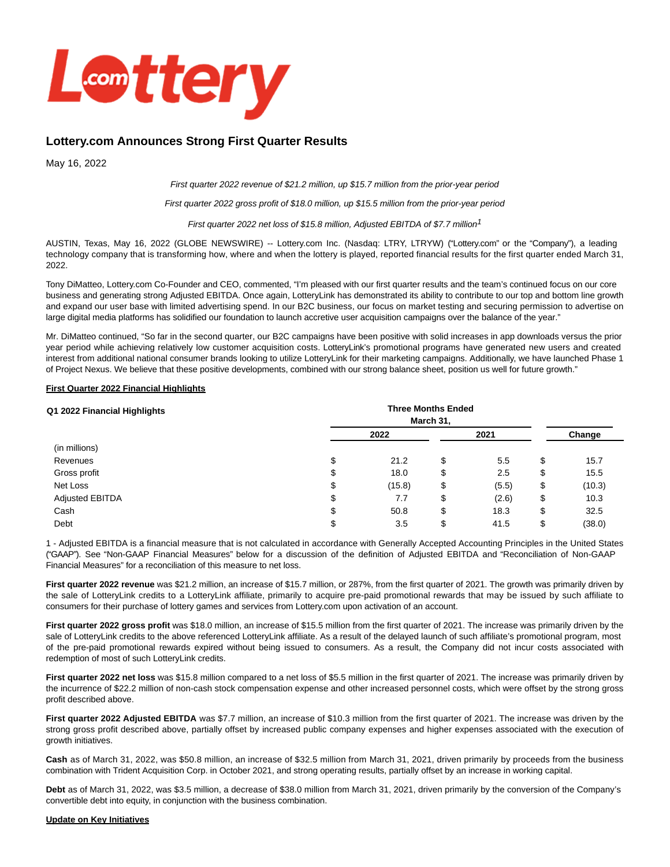

# **Lottery.com Announces Strong First Quarter Results**

May 16, 2022

First quarter 2022 revenue of \$21.2 million, up \$15.7 million from the prior-year period

First quarter 2022 gross profit of \$18.0 million, up \$15.5 million from the prior-year period

First quarter 2022 net loss of \$15.8 million, Adjusted EBITDA of \$7.7 million<sup>1</sup>

AUSTIN, Texas, May 16, 2022 (GLOBE NEWSWIRE) -- Lottery.com Inc. (Nasdaq: LTRY, LTRYW) ("Lottery.com" or the "Company"), a leading technology company that is transforming how, where and when the lottery is played, reported financial results for the first quarter ended March 31, 2022.

Tony DiMatteo, Lottery.com Co-Founder and CEO, commented, "I'm pleased with our first quarter results and the team's continued focus on our core business and generating strong Adjusted EBITDA. Once again, LotteryLink has demonstrated its ability to contribute to our top and bottom line growth and expand our user base with limited advertising spend. In our B2C business, our focus on market testing and securing permission to advertise on large digital media platforms has solidified our foundation to launch accretive user acquisition campaigns over the balance of the year."

Mr. DiMatteo continued, "So far in the second quarter, our B2C campaigns have been positive with solid increases in app downloads versus the prior year period while achieving relatively low customer acquisition costs. LotteryLink's promotional programs have generated new users and created interest from additional national consumer brands looking to utilize LotteryLink for their marketing campaigns. Additionally, we have launched Phase 1 of Project Nexus. We believe that these positive developments, combined with our strong balance sheet, position us well for future growth."

#### **First Quarter 2022 Financial Highlights**

| Q1 2022 Financial Highlights |        | <b>Three Months Ended</b><br>March 31, |    |       |    |        |  |
|------------------------------|--------|----------------------------------------|----|-------|----|--------|--|
|                              |        | 2022                                   |    | 2021  |    | Change |  |
| (in millions)                |        |                                        |    |       |    |        |  |
| Revenues                     | ሖ<br>Φ | 21.2                                   | \$ | 5.5   | \$ | 15.7   |  |
| Gross profit                 | จ      | 18.0                                   | \$ | 2.5   | \$ | 15.5   |  |
| Net Loss                     | Φ      | (15.8)                                 | \$ | (5.5) | \$ | (10.3) |  |
| Adjusted EBITDA              | ሖ<br>จ | 7.7                                    | \$ | (2.6) | \$ | 10.3   |  |
| Cash                         | จ      | 50.8                                   | \$ | 18.3  | \$ | 32.5   |  |
| Debt                         |        | 3.5                                    | \$ | 41.5  | \$ | (38.0) |  |

1 - Adjusted EBITDA is a financial measure that is not calculated in accordance with Generally Accepted Accounting Principles in the United States ("GAAP"). See "Non-GAAP Financial Measures" below for a discussion of the definition of Adjusted EBITDA and "Reconciliation of Non-GAAP Financial Measures" for a reconciliation of this measure to net loss.

**First quarter 2022 revenue** was \$21.2 million, an increase of \$15.7 million, or 287%, from the first quarter of 2021. The growth was primarily driven by the sale of LotteryLink credits to a LotteryLink affiliate, primarily to acquire pre-paid promotional rewards that may be issued by such affiliate to consumers for their purchase of lottery games and services from Lottery.com upon activation of an account.

**First quarter 2022 gross profit** was \$18.0 million, an increase of \$15.5 million from the first quarter of 2021. The increase was primarily driven by the sale of LotteryLink credits to the above referenced LotteryLink affiliate. As a result of the delayed launch of such affiliate's promotional program, most of the pre-paid promotional rewards expired without being issued to consumers. As a result, the Company did not incur costs associated with redemption of most of such LotteryLink credits.

**First quarter 2022 net loss** was \$15.8 million compared to a net loss of \$5.5 million in the first quarter of 2021. The increase was primarily driven by the incurrence of \$22.2 million of non-cash stock compensation expense and other increased personnel costs, which were offset by the strong gross profit described above.

**First quarter 2022 Adjusted EBITDA** was \$7.7 million, an increase of \$10.3 million from the first quarter of 2021. The increase was driven by the strong gross profit described above, partially offset by increased public company expenses and higher expenses associated with the execution of growth initiatives.

**Cash** as of March 31, 2022, was \$50.8 million, an increase of \$32.5 million from March 31, 2021, driven primarily by proceeds from the business combination with Trident Acquisition Corp. in October 2021, and strong operating results, partially offset by an increase in working capital.

**Debt** as of March 31, 2022, was \$3.5 million, a decrease of \$38.0 million from March 31, 2021, driven primarily by the conversion of the Company's convertible debt into equity, in conjunction with the business combination.

### **Update on Key Initiatives**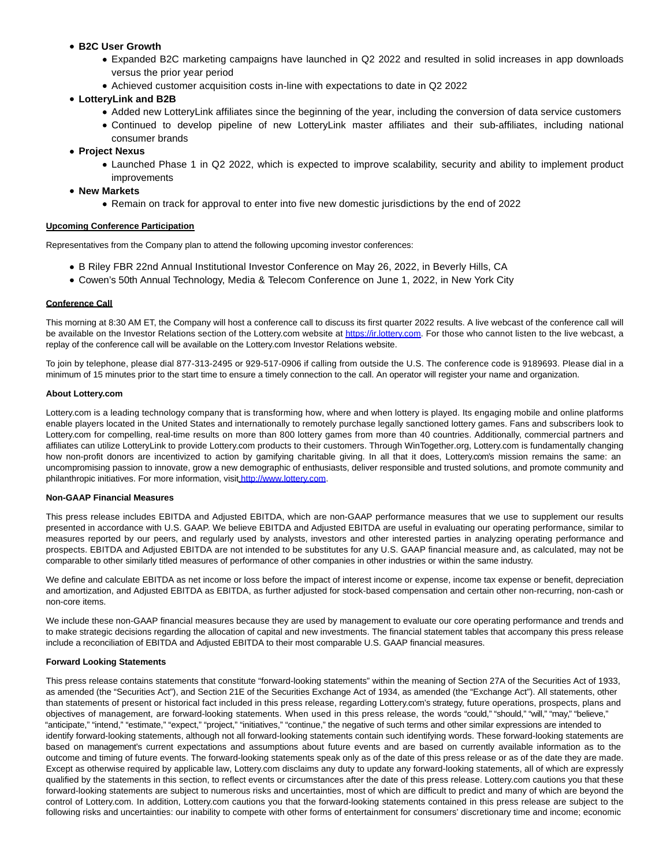- **B2C User Growth**
	- Expanded B2C marketing campaigns have launched in Q2 2022 and resulted in solid increases in app downloads versus the prior year period
	- Achieved customer acquisition costs in-line with expectations to date in Q2 2022

## **LotteryLink and B2B**

- Added new LotteryLink affiliates since the beginning of the year, including the conversion of data service customers
- Continued to develop pipeline of new LotteryLink master affiliates and their sub-affiliates, including national consumer brands
- **Project Nexus**
	- Launched Phase 1 in Q2 2022, which is expected to improve scalability, security and ability to implement product improvements
- **New Markets**
	- Remain on track for approval to enter into five new domestic jurisdictions by the end of 2022

### **Upcoming Conference Participation**

Representatives from the Company plan to attend the following upcoming investor conferences:

- B Riley FBR 22nd Annual Institutional Investor Conference on May 26, 2022, in Beverly Hills, CA
- Cowen's 50th Annual Technology, Media & Telecom Conference on June 1, 2022, in New York City

### **Conference Call**

This morning at 8:30 AM ET, the Company will host a conference call to discuss its first quarter 2022 results. A live webcast of the conference call will be available on the Investor Relations section of the Lottery.com website at [https://ir.lottery.com.](https://www.globenewswire.com/Tracker?data=Wgo6M6IyjD6--axw24z8AzQG3jhO_gq9sJ1lCwIaRWvlDg_NfiVq3H8khXIyY3-V2FTvC7_2cTIUiKT7K-KnRGje_GtlLkIaGNFx50iprb0=) For those who cannot listen to the live webcast, a replay of the conference call will be available on the Lottery.com Investor Relations website.

To join by telephone, please dial 877-313-2495 or 929-517-0906 if calling from outside the U.S. The conference code is 9189693. Please dial in a minimum of 15 minutes prior to the start time to ensure a timely connection to the call. An operator will register your name and organization.

#### **About Lottery.com**

Lottery.com is a leading technology company that is transforming how, where and when lottery is played. Its engaging mobile and online platforms enable players located in the United States and internationally to remotely purchase legally sanctioned lottery games. Fans and subscribers look to Lottery.com for compelling, real-time results on more than 800 lottery games from more than 40 countries. Additionally, commercial partners and affiliates can utilize LotteryLink to provide Lottery.com products to their customers. Through WinTogether.org, Lottery.com is fundamentally changing how non-profit donors are incentivized to action by gamifying charitable giving. In all that it does, Lottery.com's mission remains the same: an uncompromising passion to innovate, grow a new demographic of enthusiasts, deliver responsible and trusted solutions, and promote community and philanthropic initiatives. For more information, visit [http://www.lottery.com.](https://www.globenewswire.com/Tracker?data=HVy-RVoBRFyUe6f1Mh3vAsYRDepgJy_Jvq9IeHN4-N5wc2D9CQcCJ86Ox_-0ZcvKn7HpceS3pBssx-mdLUiUAjMfe9NTAICZDbdZg3_YDN4=)

### **Non-GAAP Financial Measures**

This press release includes EBITDA and Adjusted EBITDA, which are non-GAAP performance measures that we use to supplement our results presented in accordance with U.S. GAAP. We believe EBITDA and Adjusted EBITDA are useful in evaluating our operating performance, similar to measures reported by our peers, and regularly used by analysts, investors and other interested parties in analyzing operating performance and prospects. EBITDA and Adjusted EBITDA are not intended to be substitutes for any U.S. GAAP financial measure and, as calculated, may not be comparable to other similarly titled measures of performance of other companies in other industries or within the same industry.

We define and calculate EBITDA as net income or loss before the impact of interest income or expense, income tax expense or benefit, depreciation and amortization, and Adjusted EBITDA as EBITDA, as further adjusted for stock-based compensation and certain other non-recurring, non-cash or non-core items.

We include these non-GAAP financial measures because they are used by management to evaluate our core operating performance and trends and to make strategic decisions regarding the allocation of capital and new investments. The financial statement tables that accompany this press release include a reconciliation of EBITDA and Adjusted EBITDA to their most comparable U.S. GAAP financial measures.

#### **Forward Looking Statements**

This press release contains statements that constitute "forward-looking statements" within the meaning of Section 27A of the Securities Act of 1933, as amended (the "Securities Act"), and Section 21E of the Securities Exchange Act of 1934, as amended (the "Exchange Act"). All statements, other than statements of present or historical fact included in this press release, regarding Lottery.com's strategy, future operations, prospects, plans and objectives of management, are forward-looking statements. When used in this press release, the words "could," "should," "will," "may," "believe," "anticipate," "intend," "estimate," "expect," "project," "initiatives," "continue," the negative of such terms and other similar expressions are intended to identify forward-looking statements, although not all forward-looking statements contain such identifying words. These forward-looking statements are based on management's current expectations and assumptions about future events and are based on currently available information as to the outcome and timing of future events. The forward-looking statements speak only as of the date of this press release or as of the date they are made. Except as otherwise required by applicable law, Lottery.com disclaims any duty to update any forward-looking statements, all of which are expressly qualified by the statements in this section, to reflect events or circumstances after the date of this press release. Lottery.com cautions you that these forward-looking statements are subject to numerous risks and uncertainties, most of which are difficult to predict and many of which are beyond the control of Lottery.com. In addition, Lottery.com cautions you that the forward-looking statements contained in this press release are subject to the following risks and uncertainties: our inability to compete with other forms of entertainment for consumers' discretionary time and income; economic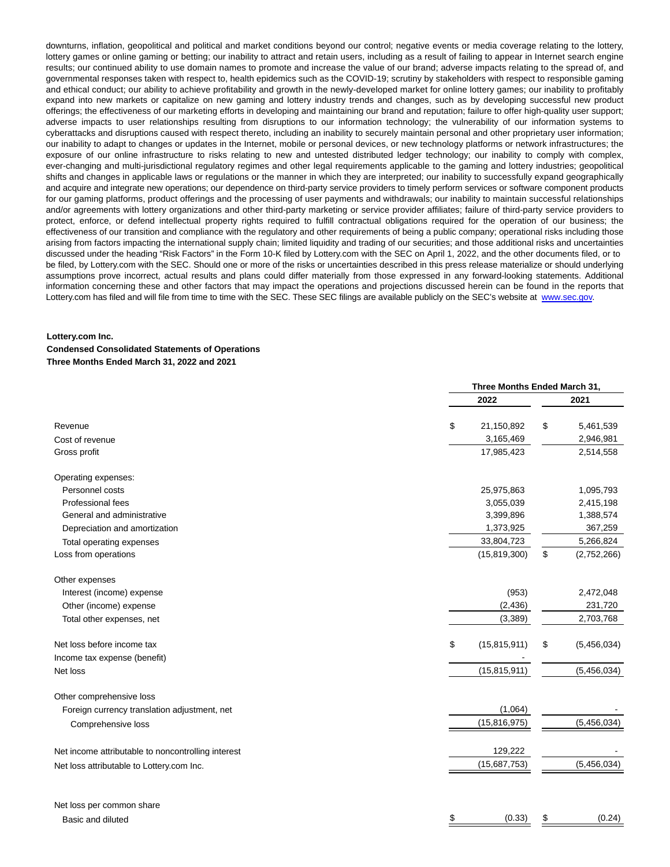downturns, inflation, geopolitical and political and market conditions beyond our control; negative events or media coverage relating to the lottery, lottery games or online gaming or betting; our inability to attract and retain users, including as a result of failing to appear in Internet search engine results; our continued ability to use domain names to promote and increase the value of our brand; adverse impacts relating to the spread of, and governmental responses taken with respect to, health epidemics such as the COVID-19; scrutiny by stakeholders with respect to responsible gaming and ethical conduct; our ability to achieve profitability and growth in the newly-developed market for online lottery games; our inability to profitably expand into new markets or capitalize on new gaming and lottery industry trends and changes, such as by developing successful new product offerings; the effectiveness of our marketing efforts in developing and maintaining our brand and reputation; failure to offer high-quality user support; adverse impacts to user relationships resulting from disruptions to our information technology; the vulnerability of our information systems to cyberattacks and disruptions caused with respect thereto, including an inability to securely maintain personal and other proprietary user information; our inability to adapt to changes or updates in the Internet, mobile or personal devices, or new technology platforms or network infrastructures; the exposure of our online infrastructure to risks relating to new and untested distributed ledger technology; our inability to comply with complex, ever-changing and multi-jurisdictional regulatory regimes and other legal requirements applicable to the gaming and lottery industries; geopolitical shifts and changes in applicable laws or regulations or the manner in which they are interpreted; our inability to successfully expand geographically and acquire and integrate new operations; our dependence on third-party service providers to timely perform services or software component products for our gaming platforms, product offerings and the processing of user payments and withdrawals; our inability to maintain successful relationships and/or agreements with lottery organizations and other third-party marketing or service provider affiliates; failure of third-party service providers to protect, enforce, or defend intellectual property rights required to fulfill contractual obligations required for the operation of our business; the effectiveness of our transition and compliance with the regulatory and other requirements of being a public company; operational risks including those arising from factors impacting the international supply chain; limited liquidity and trading of our securities; and those additional risks and uncertainties discussed under the heading "Risk Factors" in the Form 10-K filed by Lottery.com with the SEC on April 1, 2022, and the other documents filed, or to be filed, by Lottery.com with the SEC. Should one or more of the risks or uncertainties described in this press release materialize or should underlying assumptions prove incorrect, actual results and plans could differ materially from those expressed in any forward-looking statements. Additional information concerning these and other factors that may impact the operations and projections discussed herein can be found in the reports that Lottery.com has filed and will file from time to time with the SEC. These SEC filings are available publicly on the SEC's website at [www.sec.gov.](https://www.globenewswire.com/Tracker?data=AnO9GETuSS7E4IKxxGFaItkoI_T4xSEAzJ4rO9SfgmNpcGPKYPPX6BfYe9AReVRgaikqY_80DcR55sLTmUe4Qw==)

### **Lottery.com Inc.**

### **Condensed Consolidated Statements of Operations**

### **Three Months Ended March 31, 2022 and 2021**

|                                                    |                      | Three Months Ended March 31, |             |  |  |
|----------------------------------------------------|----------------------|------------------------------|-------------|--|--|
|                                                    | 2022                 |                              | 2021        |  |  |
| Revenue                                            | \$<br>21,150,892     | \$                           | 5,461,539   |  |  |
| Cost of revenue                                    | 3,165,469            |                              | 2,946,981   |  |  |
| Gross profit                                       | 17,985,423           |                              | 2,514,558   |  |  |
| Operating expenses:                                |                      |                              |             |  |  |
| Personnel costs                                    | 25,975,863           |                              | 1,095,793   |  |  |
| Professional fees                                  | 3,055,039            |                              | 2,415,198   |  |  |
| General and administrative                         | 3,399,896            |                              | 1,388,574   |  |  |
| Depreciation and amortization                      | 1,373,925            |                              | 367,259     |  |  |
| Total operating expenses                           | 33,804,723           |                              | 5,266,824   |  |  |
| Loss from operations                               | (15, 819, 300)       | \$                           | (2,752,266) |  |  |
| Other expenses                                     |                      |                              |             |  |  |
| Interest (income) expense                          | (953)                |                              | 2,472,048   |  |  |
| Other (income) expense                             | (2, 436)             |                              | 231,720     |  |  |
| Total other expenses, net                          | (3,389)              |                              | 2,703,768   |  |  |
| Net loss before income tax                         | \$<br>(15, 815, 911) | \$                           | (5,456,034) |  |  |
| Income tax expense (benefit)                       |                      |                              |             |  |  |
| Net loss                                           | (15, 815, 911)       |                              | (5,456,034) |  |  |
| Other comprehensive loss                           |                      |                              |             |  |  |
| Foreign currency translation adjustment, net       | (1,064)              |                              |             |  |  |
| Comprehensive loss                                 | (15, 816, 975)       |                              | (5,456,034) |  |  |
| Net income attributable to noncontrolling interest | 129,222              |                              |             |  |  |
| Net loss attributable to Lottery.com Inc.          | (15,687,753)         |                              | (5,456,034) |  |  |
|                                                    |                      |                              |             |  |  |
| Net loss per common share                          |                      |                              |             |  |  |
| Basic and diluted                                  | \$<br>(0.33)         | \$                           | (0.24)      |  |  |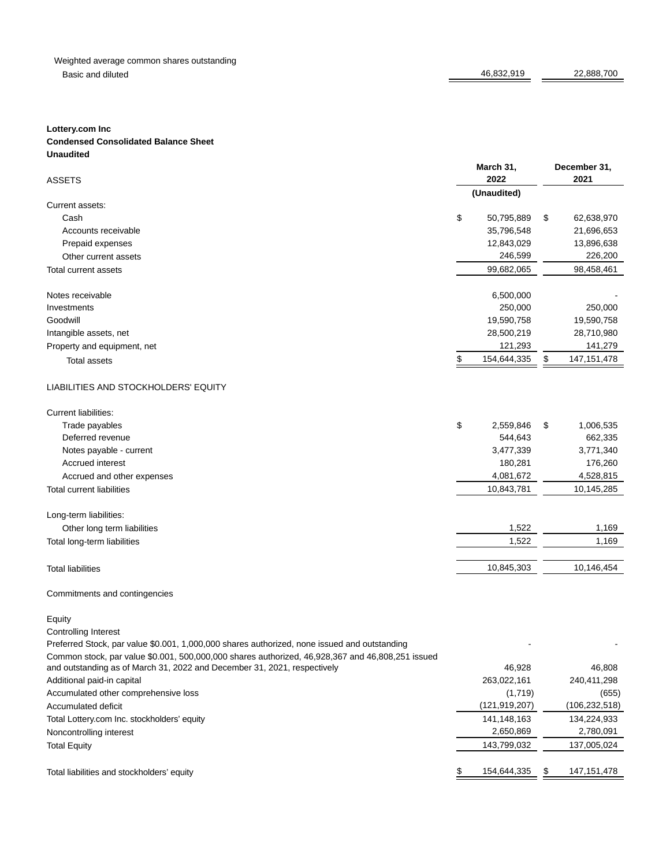## Weighted average common shares outstanding Basic and diluted 22,888,700

# **Lottery.com Inc**

## **Condensed Consolidated Balance Sheet Unaudited**

| <b>ASSETS</b>                                                                                    | March 31,<br>2022 | December 31,<br>2021 |                 |  |  |
|--------------------------------------------------------------------------------------------------|-------------------|----------------------|-----------------|--|--|
|                                                                                                  | (Unaudited)       |                      |                 |  |  |
| Current assets:                                                                                  |                   |                      |                 |  |  |
| Cash                                                                                             | \$<br>50,795,889  | \$                   | 62,638,970      |  |  |
| Accounts receivable                                                                              | 35,796,548        |                      | 21,696,653      |  |  |
| Prepaid expenses                                                                                 | 12,843,029        |                      | 13,896,638      |  |  |
| Other current assets                                                                             | 246,599           |                      | 226,200         |  |  |
| Total current assets                                                                             | 99,682,065        |                      | 98,458,461      |  |  |
| Notes receivable                                                                                 | 6,500,000         |                      |                 |  |  |
| Investments                                                                                      | 250,000           |                      | 250,000         |  |  |
| Goodwill                                                                                         | 19,590,758        |                      | 19,590,758      |  |  |
| Intangible assets, net                                                                           | 28,500,219        |                      | 28,710,980      |  |  |
| Property and equipment, net                                                                      | 121,293           |                      | 141,279         |  |  |
| <b>Total assets</b>                                                                              | \$<br>154,644,335 | \$                   | 147, 151, 478   |  |  |
| LIABILITIES AND STOCKHOLDERS' EQUITY                                                             |                   |                      |                 |  |  |
| Current liabilities:                                                                             |                   |                      |                 |  |  |
| Trade payables                                                                                   | \$<br>2,559,846   | \$                   | 1,006,535       |  |  |
| Deferred revenue                                                                                 | 544,643           |                      | 662,335         |  |  |
| Notes payable - current                                                                          | 3,477,339         |                      | 3,771,340       |  |  |
| Accrued interest                                                                                 | 180,281           |                      | 176,260         |  |  |
| Accrued and other expenses                                                                       | 4,081,672         |                      | 4,528,815       |  |  |
| <b>Total current liabilities</b>                                                                 | 10,843,781        |                      | 10,145,285      |  |  |
| Long-term liabilities:                                                                           |                   |                      |                 |  |  |
| Other long term liabilities                                                                      | 1,522             |                      | 1,169           |  |  |
| Total long-term liabilities                                                                      | 1,522             |                      | 1,169           |  |  |
|                                                                                                  |                   |                      |                 |  |  |
| <b>Total liabilities</b>                                                                         | 10,845,303        |                      | 10,146,454      |  |  |
| Commitments and contingencies                                                                    |                   |                      |                 |  |  |
| Equity                                                                                           |                   |                      |                 |  |  |
| <b>Controlling Interest</b>                                                                      |                   |                      |                 |  |  |
| Preferred Stock, par value \$0.001, 1,000,000 shares authorized, none issued and outstanding     |                   |                      |                 |  |  |
| Common stock, par value \$0.001, 500,000,000 shares authorized, 46,928,367 and 46,808,251 issued |                   |                      |                 |  |  |
| and outstanding as of March 31, 2022 and December 31, 2021, respectively                         | 46,928            |                      | 46,808          |  |  |
| Additional paid-in capital                                                                       | 263,022,161       |                      | 240,411,298     |  |  |
| Accumulated other comprehensive loss                                                             | (1,719)           |                      | (655)           |  |  |
| Accumulated deficit                                                                              | (121, 919, 207)   |                      | (106, 232, 518) |  |  |
| Total Lottery.com Inc. stockholders' equity                                                      | 141,148,163       |                      | 134,224,933     |  |  |
| Noncontrolling interest                                                                          | 2,650,869         |                      | 2,780,091       |  |  |
| <b>Total Equity</b>                                                                              | 143,799,032       |                      | 137,005,024     |  |  |
| Total liabilities and stockholders' equity                                                       | \$<br>154,644,335 | \$                   | 147, 151, 478   |  |  |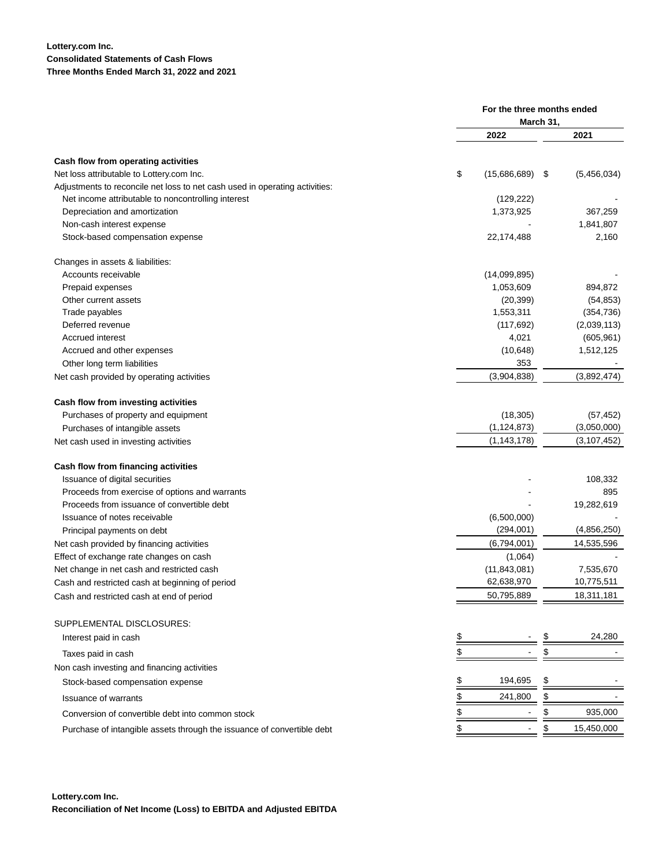## **Lottery.com Inc. Consolidated Statements of Cash Flows Three Months Ended March 31, 2022 and 2021**

|                                                                             | For the three months ended<br>March 31, |      |               |
|-----------------------------------------------------------------------------|-----------------------------------------|------|---------------|
|                                                                             |                                         |      |               |
|                                                                             | 2022                                    |      | 2021          |
| Cash flow from operating activities                                         |                                         |      |               |
| Net loss attributable to Lottery.com Inc.                                   | \$<br>(15,686,689)                      | - \$ | (5,456,034)   |
| Adjustments to reconcile net loss to net cash used in operating activities: |                                         |      |               |
| Net income attributable to noncontrolling interest                          | (129, 222)                              |      |               |
| Depreciation and amortization                                               | 1,373,925                               |      | 367,259       |
| Non-cash interest expense                                                   |                                         |      | 1,841,807     |
| Stock-based compensation expense                                            | 22,174,488                              |      | 2,160         |
| Changes in assets & liabilities:                                            |                                         |      |               |
| Accounts receivable                                                         | (14,099,895)                            |      |               |
| Prepaid expenses                                                            | 1,053,609                               |      | 894,872       |
| Other current assets                                                        | (20, 399)                               |      | (54, 853)     |
| Trade payables                                                              | 1,553,311                               |      | (354, 736)    |
| Deferred revenue                                                            | (117, 692)                              |      | (2,039,113)   |
| Accrued interest                                                            | 4,021                                   |      | (605, 961)    |
| Accrued and other expenses                                                  | (10, 648)                               |      | 1,512,125     |
| Other long term liabilities                                                 | 353                                     |      |               |
| Net cash provided by operating activities                                   | (3,904,838)                             |      | (3,892,474)   |
| Cash flow from investing activities                                         |                                         |      |               |
| Purchases of property and equipment                                         | (18, 305)                               |      | (57, 452)     |
| Purchases of intangible assets                                              | (1, 124, 873)                           |      | (3,050,000)   |
| Net cash used in investing activities                                       | (1, 143, 178)                           |      | (3, 107, 452) |
| Cash flow from financing activities                                         |                                         |      |               |
| Issuance of digital securities                                              |                                         |      | 108,332       |
| Proceeds from exercise of options and warrants                              |                                         |      | 895           |
| Proceeds from issuance of convertible debt                                  |                                         |      | 19,282,619    |
| Issuance of notes receivable                                                | (6,500,000)                             |      |               |
| Principal payments on debt                                                  | (294,001)                               |      | (4,856,250)   |
| Net cash provided by financing activities                                   | (6,794,001)                             |      | 14,535,596    |
| Effect of exchange rate changes on cash                                     | (1,064)                                 |      |               |
| Net change in net cash and restricted cash                                  | (11, 843, 081)                          |      | 7,535,670     |
| Cash and restricted cash at beginning of period                             | 62,638,970                              |      | 10,775,511    |
| Cash and restricted cash at end of period                                   | 50,795,889                              |      | 18,311,181    |
| SUPPLEMENTAL DISCLOSURES:                                                   |                                         |      |               |
| Interest paid in cash                                                       | \$                                      |      | 24,280        |
| Taxes paid in cash                                                          | \$                                      | \$   |               |
| Non cash investing and financing activities                                 |                                         |      |               |
| Stock-based compensation expense                                            | 194,695<br>\$                           | \$   |               |
| <b>Issuance of warrants</b>                                                 | 241,800                                 | \$   |               |
| Conversion of convertible debt into common stock                            | \$                                      | \$   | 935,000       |
| Purchase of intangible assets through the issuance of convertible debt      | \$                                      | \$   | 15,450,000    |